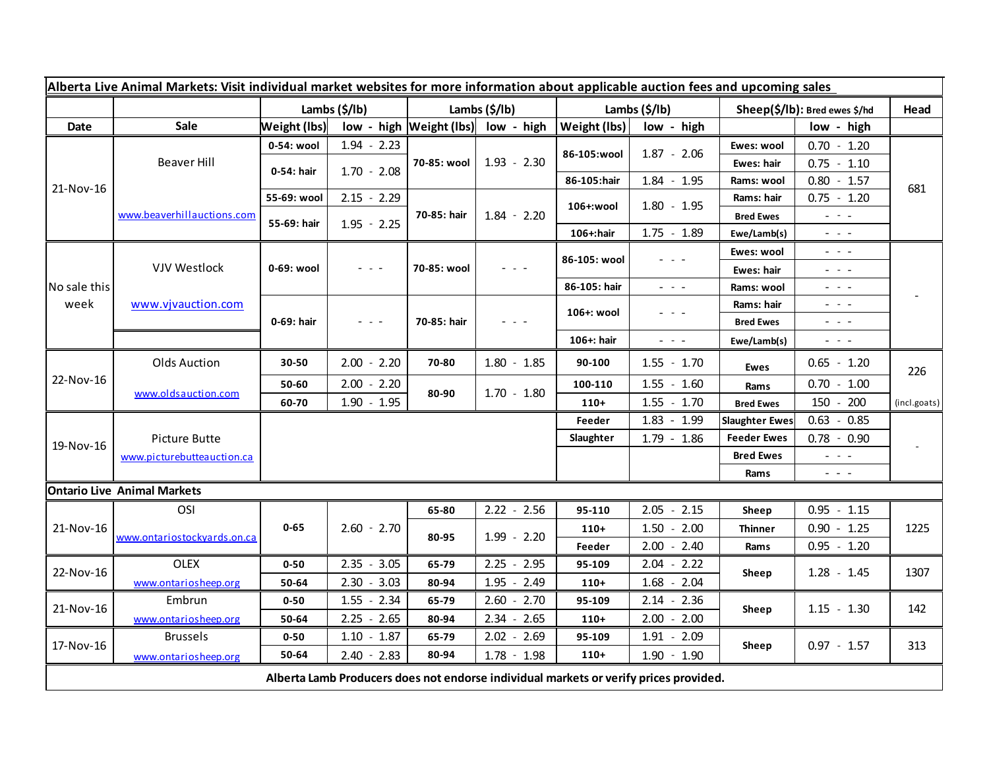| Alberta Live Animal Markets: Visit individual market websites for more information about applicable auction fees and upcoming sales |                                    |                     |                                                                                                                           |                |                                    |                       |                 |                                     |                                                                                                                                                                                                                                                                                                                                                                                                                                                |              |
|-------------------------------------------------------------------------------------------------------------------------------------|------------------------------------|---------------------|---------------------------------------------------------------------------------------------------------------------------|----------------|------------------------------------|-----------------------|-----------------|-------------------------------------|------------------------------------------------------------------------------------------------------------------------------------------------------------------------------------------------------------------------------------------------------------------------------------------------------------------------------------------------------------------------------------------------------------------------------------------------|--------------|
|                                                                                                                                     |                                    | Lambs (\$/lb)       |                                                                                                                           | Lambs (\$/lb)  |                                    | Lambs $(\frac{2}{3})$ |                 | Sheep(\$/lb): Bred ewes \$/hd       |                                                                                                                                                                                                                                                                                                                                                                                                                                                | Head         |
| Date                                                                                                                                | Sale                               | <b>Weight (lbs)</b> |                                                                                                                           |                | low - high Weight (lbs) low - high | Weight (lbs)          | low - high      |                                     | low - high                                                                                                                                                                                                                                                                                                                                                                                                                                     |              |
| 21-Nov-16                                                                                                                           | Beaver Hill                        | 0-54: wool          | $1.94 - 2.23$                                                                                                             | 70-85: wool    | $1.93 - 2.30$                      | 86-105:wool           | $1.87 - 2.06$   | Ewes: wool                          | $0.70 - 1.20$                                                                                                                                                                                                                                                                                                                                                                                                                                  | 681          |
|                                                                                                                                     |                                    | 0-54: hair          | $1.70 - 2.08$                                                                                                             |                |                                    |                       |                 | Ewes: hair                          | $0.75 - 1.10$                                                                                                                                                                                                                                                                                                                                                                                                                                  |              |
|                                                                                                                                     |                                    |                     |                                                                                                                           |                |                                    | 86-105:hair           | $1.84 - 1.95$   | Rams: wool                          | $0.80 - 1.57$                                                                                                                                                                                                                                                                                                                                                                                                                                  |              |
|                                                                                                                                     | www.beaverhillauctions.com         | 55-69: wool         | $2.15 - 2.29$                                                                                                             | 70-85: hair    | $1.84 - 2.20$                      | 106+:wool             | $1.80 - 1.95$   | Rams: hair                          | $0.75 - 1.20$                                                                                                                                                                                                                                                                                                                                                                                                                                  |              |
|                                                                                                                                     |                                    | 55-69: hair         | $1.95 - 2.25$                                                                                                             |                |                                    |                       |                 | <b>Bred Ewes</b>                    | $\sim$ 100 $\sim$                                                                                                                                                                                                                                                                                                                                                                                                                              |              |
|                                                                                                                                     |                                    |                     |                                                                                                                           |                |                                    | 106+:hair             | $1.75 - 1.89$   | Ewe/Lamb(s)                         | $\sim$ 10 $\sim$ 10 $\sim$                                                                                                                                                                                                                                                                                                                                                                                                                     |              |
| No sale this<br>week                                                                                                                | VJV Westlock                       | 0-69: wool          |                                                                                                                           | 70-85: wool    |                                    | 86-105: wool          | $  -$           | Ewes: wool                          | $  -$                                                                                                                                                                                                                                                                                                                                                                                                                                          |              |
|                                                                                                                                     |                                    |                     |                                                                                                                           |                |                                    |                       |                 | Ewes: hair                          | $\frac{1}{2} \left( \frac{1}{2} \right) \frac{1}{2} \left( \frac{1}{2} \right) \frac{1}{2} \left( \frac{1}{2} \right) \frac{1}{2} \left( \frac{1}{2} \right)$                                                                                                                                                                                                                                                                                  |              |
|                                                                                                                                     |                                    |                     |                                                                                                                           |                |                                    | 86-105: hair          | $  -$           | Rams: wool                          | $\frac{1}{2} \left( \frac{1}{2} \right) \frac{1}{2} \left( \frac{1}{2} \right) \frac{1}{2} \left( \frac{1}{2} \right) \frac{1}{2} \left( \frac{1}{2} \right) \frac{1}{2} \left( \frac{1}{2} \right) \frac{1}{2} \left( \frac{1}{2} \right) \frac{1}{2} \left( \frac{1}{2} \right) \frac{1}{2} \left( \frac{1}{2} \right) \frac{1}{2} \left( \frac{1}{2} \right) \frac{1}{2} \left( \frac{1}{2} \right) \frac{1}{2} \left( \frac{1}{2} \right)$ |              |
|                                                                                                                                     | www.vjvauction.com                 | 0-69: hair          | $\frac{1}{2} \left( \frac{1}{2} \right) \left( \frac{1}{2} \right) \left( \frac{1}{2} \right) \left( \frac{1}{2} \right)$ | 70-85: hair    | $  -$                              | 106+: wool            |                 | Rams: hair                          | $  -$                                                                                                                                                                                                                                                                                                                                                                                                                                          |              |
|                                                                                                                                     |                                    |                     |                                                                                                                           |                |                                    |                       |                 | <b>Bred Ewes</b>                    | $\frac{1}{2} \left( \frac{1}{2} \right) \left( \frac{1}{2} \right) \left( \frac{1}{2} \right) \left( \frac{1}{2} \right)$                                                                                                                                                                                                                                                                                                                      |              |
|                                                                                                                                     |                                    |                     |                                                                                                                           |                |                                    | 106+: hair            | $  -$           | Ewe/Lamb(s)                         | $\frac{1}{2} \left( \frac{1}{2} \right) \frac{1}{2} \left( \frac{1}{2} \right) \frac{1}{2} \left( \frac{1}{2} \right) \frac{1}{2} \left( \frac{1}{2} \right)$                                                                                                                                                                                                                                                                                  |              |
| 22-Nov-16                                                                                                                           | Olds Auction                       | 30-50               | $2.00 - 2.20$                                                                                                             | 70-80          | $1.80 - 1.85$                      | 90-100                | $1.55 - 1.70$   | <b>Ewes</b>                         | $0.65 - 1.20$                                                                                                                                                                                                                                                                                                                                                                                                                                  | 226          |
|                                                                                                                                     | www.oldsauction.com                | 50-60               | $2.00 - 2.20$                                                                                                             | 80-90          | $1.70 - 1.80$                      | 100-110               | $1.55 - 1.60$   | Rams                                | $0.70 - 1.00$                                                                                                                                                                                                                                                                                                                                                                                                                                  |              |
|                                                                                                                                     |                                    | 60-70               | $1.90 - 1.95$                                                                                                             |                |                                    | $110+$                | $1.55 - 1.70$   | <b>Bred Ewes</b>                    | 150 - 200                                                                                                                                                                                                                                                                                                                                                                                                                                      | (incl.goats) |
| 19-Nov-16                                                                                                                           |                                    |                     |                                                                                                                           |                |                                    | Feeder                | $1.83 - 1.99$   | <b>Slaughter Ewes</b>               | $0.63 - 0.85$                                                                                                                                                                                                                                                                                                                                                                                                                                  |              |
|                                                                                                                                     | Picture Butte                      |                     |                                                                                                                           |                |                                    | Slaughter             | $1.79 - 1.86$   | $0.78 - 0.90$<br><b>Feeder Ewes</b> |                                                                                                                                                                                                                                                                                                                                                                                                                                                |              |
|                                                                                                                                     | www.picturebutteauction.ca         |                     |                                                                                                                           |                |                                    |                       |                 | <b>Bred Ewes</b>                    | $\sim$ 100 $\sim$                                                                                                                                                                                                                                                                                                                                                                                                                              |              |
|                                                                                                                                     |                                    |                     |                                                                                                                           |                |                                    |                       |                 | Rams                                | $\sim$ 1 $\sim$ 1 $\sim$                                                                                                                                                                                                                                                                                                                                                                                                                       |              |
|                                                                                                                                     | <b>Ontario Live Animal Markets</b> |                     |                                                                                                                           |                |                                    |                       |                 |                                     |                                                                                                                                                                                                                                                                                                                                                                                                                                                |              |
| 21-Nov-16                                                                                                                           | OSI                                | $0 - 65$            | $2.60 - 2.70$                                                                                                             | 65-80<br>80-95 | $2.22 - 2.56$                      | 95-110                | $2.05 - 2.15$   | Sheep                               | $0.95 - 1.15$                                                                                                                                                                                                                                                                                                                                                                                                                                  | 1225         |
|                                                                                                                                     | www.ontariostockyards.on.ca        |                     |                                                                                                                           |                | $1.99 - 2.20$                      | $110+$                | $-2.00$<br>1.50 | <b>Thinner</b>                      | $0.90 - 1.25$                                                                                                                                                                                                                                                                                                                                                                                                                                  |              |
|                                                                                                                                     |                                    |                     |                                                                                                                           |                |                                    | Feeder                | $-2.40$<br>2.00 | Rams                                | $0.95 - 1.20$                                                                                                                                                                                                                                                                                                                                                                                                                                  |              |
| 22-Nov-16                                                                                                                           | <b>OLEX</b>                        | $0 - 50$            | $2.35 - 3.05$                                                                                                             | 65-79          | $2.25 - 2.95$                      | 95-109                | 2.04<br>$-2.22$ | Sheep                               | $1.28 - 1.45$                                                                                                                                                                                                                                                                                                                                                                                                                                  | 1307         |
|                                                                                                                                     | www.ontariosheep.org               | 50-64               | $2.30 - 3.03$                                                                                                             | 80-94          | 1.95 - 2.49                        | $110+$                | $1.68 - 2.04$   |                                     |                                                                                                                                                                                                                                                                                                                                                                                                                                                |              |
| 21-Nov-16                                                                                                                           | Embrun                             | $0 - 50$            | $1.55 - 2.34$                                                                                                             | 65-79          | $2.60 - 2.70$                      | 95-109                | $2.14 - 2.36$   | Sheep                               | $1.15 - 1.30$                                                                                                                                                                                                                                                                                                                                                                                                                                  | 142          |
|                                                                                                                                     | www.ontariosheep.org               | 50-64               | $2.25 - 2.65$                                                                                                             | 80-94          | $2.34 - 2.65$                      | $110+$                | $2.00 - 2.00$   |                                     |                                                                                                                                                                                                                                                                                                                                                                                                                                                |              |
| 17-Nov-16                                                                                                                           | <b>Brussels</b>                    | $0 - 50$            | $1.10 - 1.87$                                                                                                             | 65-79          | $2.02 - 2.69$                      | 95-109                | $1.91 - 2.09$   | Sheep                               | $0.97 - 1.57$                                                                                                                                                                                                                                                                                                                                                                                                                                  | 313          |
|                                                                                                                                     | www.ontariosheep.org               | 50-64               | $2.40 - 2.83$                                                                                                             | 80-94          | $1.78 - 1.98$                      | $110+$                | $1.90 - 1.90$   |                                     |                                                                                                                                                                                                                                                                                                                                                                                                                                                |              |
| Alberta Lamb Producers does not endorse individual markets or verify prices provided.                                               |                                    |                     |                                                                                                                           |                |                                    |                       |                 |                                     |                                                                                                                                                                                                                                                                                                                                                                                                                                                |              |